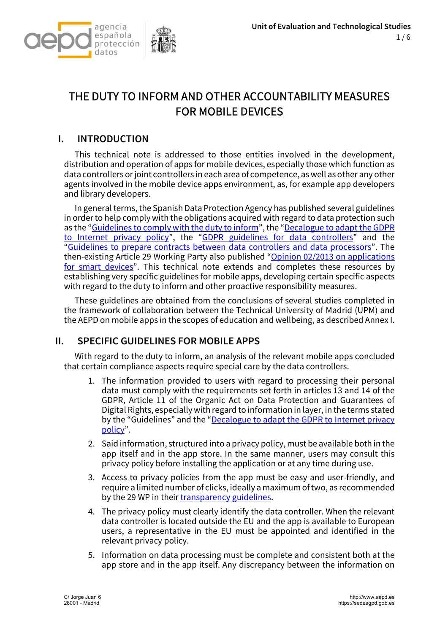

# THE DUTY TO INFORM AND OTHER ACCOUNTABILITY MEASURES FOR MOBILE DEVICES

## I. INTRODUCTION

This technical note is addressed to those entities involved in the development, distribution and operation of apps for mobile devices, especially those which function as data controllers or joint controllers in each area of competence, as well as other any other agents involved in the mobile device apps environment, as, for example app developers and library developers.

In general terms, the Spanish Data Protection Agency has published several guidelines in order to help comply with the obligations acquired with regard to data protection such as the "Guidelines to comply with the duty to inform", the "Decalogue to adapt the GDPR to Internet privacy policy", the "GDPR guidelines for data controllers" and the "Guidelines to prepare contracts between data controllers and data processors". The then-existing Article 29 Working Party also published "Opinion 02/2013 on applications for smart devices". This technical note extends and completes these resources by establishing very specific guidelines for mobile apps, developing certain specific aspects with regard to the duty to inform and other proactive responsibility measures.

These guidelines are obtained from the conclusions of several studies completed in the framework of collaboration between the Technical University of Madrid (UPM) and the AEPD on mobile apps in the scopes of education and wellbeing, as described Annex I.

### II. SPECIFIC GUIDELINES FOR MOBILE APPS

With regard to the duty to inform, an analysis of the relevant mobile apps concluded that certain compliance aspects require special care by the data controllers.

- 1. The information provided to users with regard to processing their personal data must comply with the requirements set forth in articles 13 and 14 of the GDPR, Article 11 of the Organic Act on Data Protection and Guarantees of Digital Rights, especially with regard to information in layer, in the terms stated by the "Guidelines" and the "Decalogue to adapt the GDPR to Internet privacy policy".
- 2. Said information, structured into a privacy policy, must be available both in the app itself and in the app store. In the same manner, users may consult this privacy policy before installing the application or at any time during use.
- 3. Access to privacy policies from the app must be easy and user-friendly, and require a limited number of clicks, ideally a maximum of two, as recommended by the 29 WP in their transparency guidelines.
- 4. The privacy policy must clearly identify the data controller. When the relevant data controller is located outside the EU and the app is available to European users, a representative in the EU must be appointed and identified in the relevant privacy policy.
- 5. Information on data processing must be complete and consistent both at the app store and in the app itself. Any discrepancy between the information on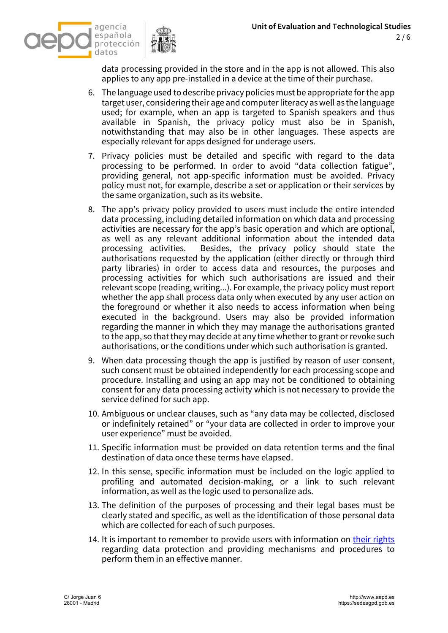



data processing provided in the store and in the app is not allowed. This also applies to any app pre-installed in a device at the time of their purchase.

- 6. The language used to describe privacy policies must be appropriate for the app target user, considering their age and computer literacy as well as the language used; for example, when an app is targeted to Spanish speakers and thus available in Spanish, the privacy policy must also be in Spanish, notwithstanding that may also be in other languages. These aspects are especially relevant for apps designed for underage users.
- 7. Privacy policies must be detailed and specific with regard to the data processing to be performed. In order to avoid "data collection fatigue", providing general, not app-specific information must be avoided. Privacy policy must not, for example, describe a set or application or their services by the same organization, such as its website.
- 8. The app's privacy policy provided to users must include the entire intended data processing, including detailed information on which data and processing activities are necessary for the app's basic operation and which are optional, as well as any relevant additional information about the intended data processing activities. Besides, the privacy policy should state the authorisations requested by the application (either directly or through third party libraries) in order to access data and resources, the purposes and processing activities for which such authorisations are issued and their relevant scope (reading, writing...). For example, the privacy policy must report whether the app shall process data only when executed by any user action on the foreground or whether it also needs to access information when being executed in the background. Users may also be provided information regarding the manner in which they may manage the authorisations granted to the app, so that they may decide at any time whether to grant or revoke such authorisations, or the conditions under which such authorisation is granted.
- 9. When data processing though the app is justified by reason of user consent, such consent must be obtained independently for each processing scope and procedure. Installing and using an app may not be conditioned to obtaining consent for any data processing activity which is not necessary to provide the service defined for such app.
- 10. Ambiguous or unclear clauses, such as "any data may be collected, disclosed or indefinitely retained" or "your data are collected in order to improve your user experience" must be avoided.
- 11. Specific information must be provided on data retention terms and the final destination of data once these terms have elapsed.
- 12. In this sense, specific information must be included on the logic applied to profiling and automated decision-making, or a link to such relevant information, as well as the logic used to personalize ads.
- 13. The definition of the purposes of processing and their legal bases must be clearly stated and specific, as well as the identification of those personal data which are collected for each of such purposes.
- 14. It is important to remember to provide users with information on their rights regarding data protection and providing mechanisms and procedures to perform them in an effective manner.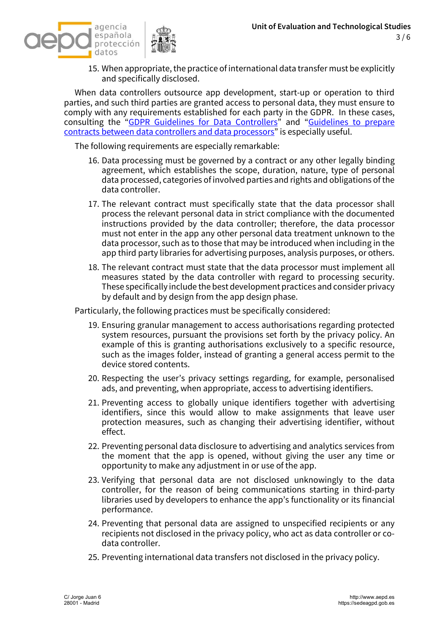

15. When appropriate, the practice of international data transfer must be explicitly and specifically disclosed.

When data controllers outsource app development, start-up or operation to third parties, and such third parties are granted access to personal data, they must ensure to comply with any requirements established for each party in the GDPR. In these cases, consulting the "GDPR Guidelines for Data Controllers" and "Guidelines to prepare contracts between data controllers and data processors" is especially useful.

The following requirements are especially remarkable:

- 16. Data processing must be governed by a contract or any other legally binding agreement, which establishes the scope, duration, nature, type of personal data processed, categories of involved parties and rights and obligations of the data controller.
- 17. The relevant contract must specifically state that the data processor shall process the relevant personal data in strict compliance with the documented instructions provided by the data controller; therefore, the data processor must not enter in the app any other personal data treatment unknown to the data processor, such as to those that may be introduced when including in the app third party libraries for advertising purposes, analysis purposes, or others.
- 18. The relevant contract must state that the data processor must implement all measures stated by the data controller with regard to processing security. These specifically include the best development practices and consider privacy by default and by design from the app design phase.

Particularly, the following practices must be specifically considered:

- 19. Ensuring granular management to access authorisations regarding protected system resources, pursuant the provisions set forth by the privacy policy. An example of this is granting authorisations exclusively to a specific resource, such as the images folder, instead of granting a general access permit to the device stored contents.
- 20. Respecting the user's privacy settings regarding, for example, personalised ads, and preventing, when appropriate, access to advertising identifiers.
- 21. Preventing access to globally unique identifiers together with advertising identifiers, since this would allow to make assignments that leave user protection measures, such as changing their advertising identifier, without effect.
- 22. Preventing personal data disclosure to advertising and analytics services from the moment that the app is opened, without giving the user any time or opportunity to make any adjustment in or use of the app.
- 23. Verifying that personal data are not disclosed unknowingly to the data controller, for the reason of being communications starting in third-party libraries used by developers to enhance the app's functionality or its financial performance.
- 24. Preventing that personal data are assigned to unspecified recipients or any recipients not disclosed in the privacy policy, who act as data controller or codata controller.
- 25. Preventing international data transfers not disclosed in the privacy policy.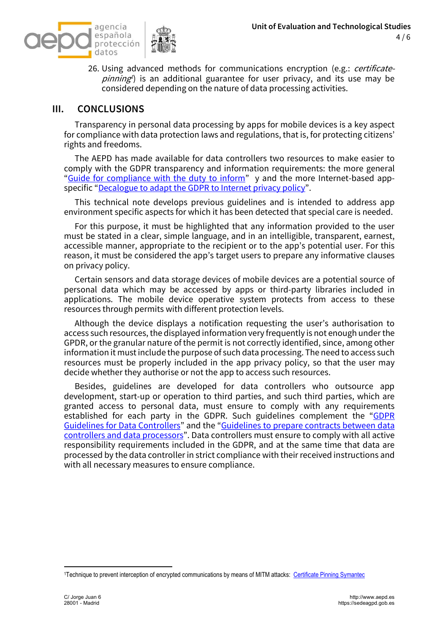

26. Using advanced methods for communications encryption (e.g.: *certificate*pinning<sup>1</sup>) is an additional guarantee for user privacy, and its use may be considered depending on the nature of data processing activities.

#### III. CONCLUSIONS

Transparency in personal data processing by apps for mobile devices is a key aspect for compliance with data protection laws and regulations, that is, for protecting citizens' rights and freedoms.

The AEPD has made available for data controllers two resources to make easier to comply with the GDPR transparency and information requirements: the more general "Guide for compliance with the duty to inform" y and the more Internet-based appspecific "Decalogue to adapt the GDPR to Internet privacy policy".

This technical note develops previous guidelines and is intended to address app environment specific aspects for which it has been detected that special care is needed.

For this purpose, it must be highlighted that any information provided to the user must be stated in a clear, simple language, and in an intelligible, transparent, earnest, accessible manner, appropriate to the recipient or to the app's potential user. For this reason, it must be considered the app's target users to prepare any informative clauses on privacy policy.

Certain sensors and data storage devices of mobile devices are a potential source of personal data which may be accessed by apps or third-party libraries included in applications. The mobile device operative system protects from access to these resources through permits with different protection levels.

Although the device displays a notification requesting the user's authorisation to access such resources, the displayed information very frequently is not enough under the GPDR, or the granular nature of the permit is not correctly identified, since, among other information it must include the purpose of such data processing. The need to access such resources must be properly included in the app privacy policy, so that the user may decide whether they authorise or not the app to access such resources.

Besides, guidelines are developed for data controllers who outsource app development, start-up or operation to third parties, and such third parties, which are granted access to personal data, must ensure to comply with any requirements established for each party in the GDPR. Such guidelines complement the "GDPR Guidelines for Data Controllers" and the "Guidelines to prepare contracts between data controllers and data processors". Data controllers must ensure to comply with all active responsibility requirements included in the GDPR, and at the same time that data are processed by the data controller in strict compliance with their received instructions and with all necessary measures to ensure compliance.

<sup>1</sup>Technique to prevent interception of encrypted communications by means of MITM attacks: Certificate Pinning Symantec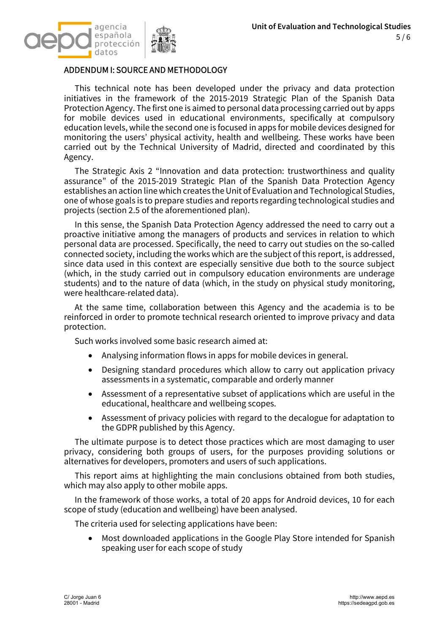

#### ADDENDUM I: SOURCE AND METHODOLOGY

This technical note has been developed under the privacy and data protection initiatives in the framework of the 2015-2019 Strategic Plan of the Spanish Data Protection Agency. The first one is aimed to personal data processing carried out by apps for mobile devices used in educational environments, specifically at compulsory education levels, while the second one is focused in apps for mobile devices designed for monitoring the users' physical activity, health and wellbeing. These works have been carried out by the Technical University of Madrid, directed and coordinated by this Agency.

The Strategic Axis 2 "Innovation and data protection: trustworthiness and quality assurance" of the 2015-2019 Strategic Plan of the Spanish Data Protection Agency establishes an action line which creates the Unit of Evaluation and Technological Studies, one of whose goals is to prepare studies and reports regarding technological studies and projects (section 2.5 of the aforementioned plan).

In this sense, the Spanish Data Protection Agency addressed the need to carry out a proactive initiative among the managers of products and services in relation to which personal data are processed. Specifically, the need to carry out studies on the so-called connected society, including the works which are the subject of this report, is addressed, since data used in this context are especially sensitive due both to the source subject (which, in the study carried out in compulsory education environments are underage students) and to the nature of data (which, in the study on physical study monitoring, were healthcare-related data).

At the same time, collaboration between this Agency and the academia is to be reinforced in order to promote technical research oriented to improve privacy and data protection.

Such works involved some basic research aimed at:

- Analysing information flows in apps for mobile devices in general.
- Designing standard procedures which allow to carry out application privacy assessments in a systematic, comparable and orderly manner
- Assessment of a representative subset of applications which are useful in the educational, healthcare and wellbeing scopes.
- Assessment of privacy policies with regard to the decalogue for adaptation to the GDPR published by this Agency.

The ultimate purpose is to detect those practices which are most damaging to user privacy, considering both groups of users, for the purposes providing solutions or alternatives for developers, promoters and users of such applications.

This report aims at highlighting the main conclusions obtained from both studies, which may also apply to other mobile apps.

In the framework of those works, a total of 20 apps for Android devices, 10 for each scope of study (education and wellbeing) have been analysed.

The criteria used for selecting applications have been:

• Most downloaded applications in the Google Play Store intended for Spanish speaking user for each scope of study